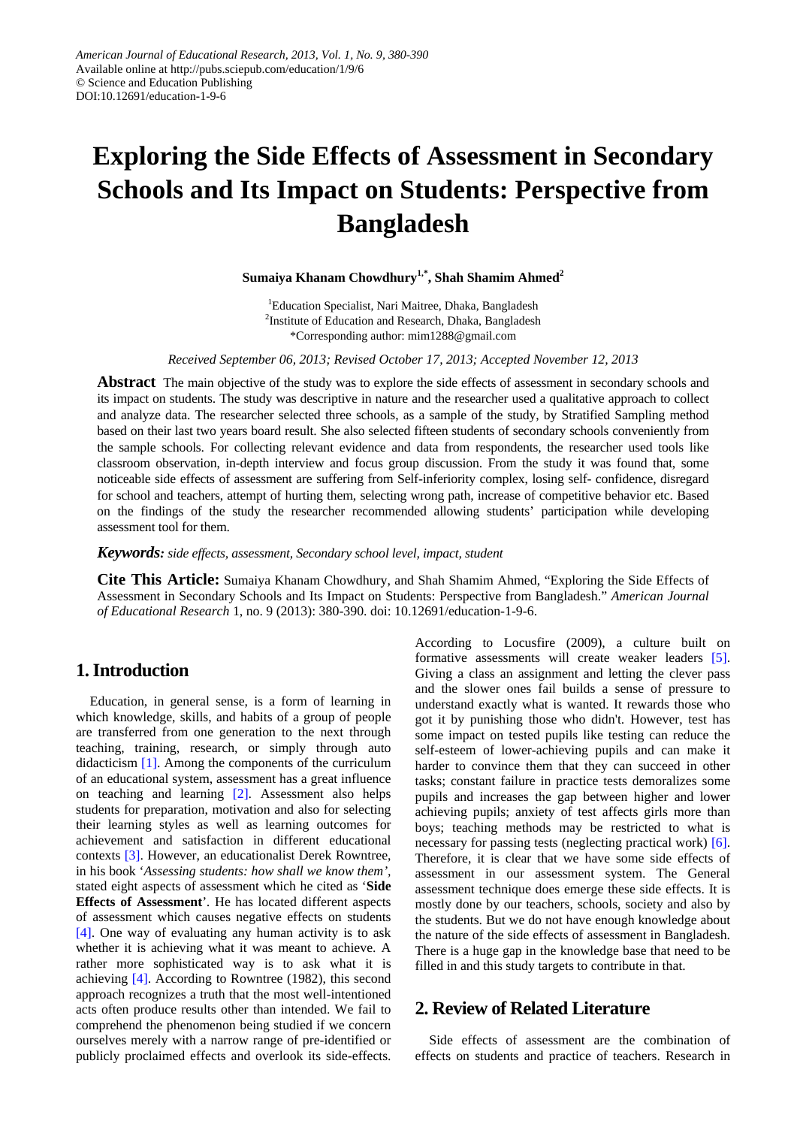# **Exploring the Side Effects of Assessment in Secondary Schools and Its Impact on Students: Perspective from Bangladesh**

**Sumaiya Khanam Chowdhury1,\* , Shah Shamim Ahmed<sup>2</sup>**

<sup>1</sup>Education Specialist, Nari Maitree, Dhaka, Bangladesh <sup>2</sup>Institute of Education and Research, Dhaka, Bangladesh \*Corresponding author: mim1288@gmail.com

*Received September 06, 2013; Revised October 17, 2013; Accepted November 12, 2013*

**Abstract** The main objective of the study was to explore the side effects of assessment in secondary schools and its impact on students. The study was descriptive in nature and the researcher used a qualitative approach to collect and analyze data. The researcher selected three schools, as a sample of the study, by Stratified Sampling method based on their last two years board result. She also selected fifteen students of secondary schools conveniently from the sample schools. For collecting relevant evidence and data from respondents, the researcher used tools like classroom observation, in-depth interview and focus group discussion. From the study it was found that, some noticeable side effects of assessment are suffering from Self-inferiority complex, losing self- confidence, disregard for school and teachers, attempt of hurting them, selecting wrong path, increase of competitive behavior etc. Based on the findings of the study the researcher recommended allowing students' participation while developing assessment tool for them.

*Keywords: side effects, assessment, Secondary school level, impact, student*

**Cite This Article:** Sumaiya Khanam Chowdhury, and Shah Shamim Ahmed, "Exploring the Side Effects of Assessment in Secondary Schools and Its Impact on Students: Perspective from Bangladesh." *American Journal of Educational Research* 1, no. 9 (2013): 380-390. doi: 10.12691/education-1-9-6.

# **1. Introduction**

Education, in general sense, is a form of learning in which knowledge, skills, and habits of a group of people are transferred from one generation to the next through teaching, training, research, or simply through auto didacticism [\[1\].](#page-10-0) Among the components of the curriculum of an educational system, assessment has a great influence on teaching and learning [\[2\].](#page-10-1) Assessment also helps students for preparation, motivation and also for selecting their learning styles as well as learning outcomes for achievement and satisfaction in different educational contexts [\[3\].](#page-10-2) However, an educationalist Derek Rowntree, in his book '*Assessing students: how shall we know them',* stated eight aspects of assessment which he cited as '**Side Effects of Assessment**'*.* He has located different aspects of assessment which causes negative effects on students [\[4\].](#page-10-3) One way of evaluating any human activity is to ask whether it is achieving what it was meant to achieve. A rather more sophisticated way is to ask what it is achieving [\[4\].](#page-10-3) According to Rowntree (1982), this second approach recognizes a truth that the most well-intentioned acts often produce results other than intended. We fail to comprehend the phenomenon being studied if we concern ourselves merely with a narrow range of pre-identified or publicly proclaimed effects and overlook its side-effects. According to Locusfire (2009), a culture built on formative assessments will create weaker leaders [\[5\].](#page-10-4) Giving a class an assignment and letting the clever pass and the slower ones fail builds a sense of pressure to understand exactly what is wanted. It rewards those who got it by punishing those who didn't. However, test has some impact on tested pupils like testing can reduce the self-esteem of lower-achieving pupils and can make it harder to convince them that they can succeed in other tasks; constant failure in practice tests demoralizes some pupils and increases the gap between higher and lower achieving pupils; anxiety of test affects girls more than boys; teaching methods may be restricted to what is necessary for passing tests (neglecting practical work) [\[6\].](#page-10-5) Therefore, it is clear that we have some side effects of assessment in our assessment system. The General assessment technique does emerge these side effects. It is mostly done by our teachers, schools, society and also by the students. But we do not have enough knowledge about the nature of the side effects of assessment in Bangladesh. There is a huge gap in the knowledge base that need to be filled in and this study targets to contribute in that.

# **2. Review of Related Literature**

Side effects of assessment are the combination of effects on students and practice of teachers. Research in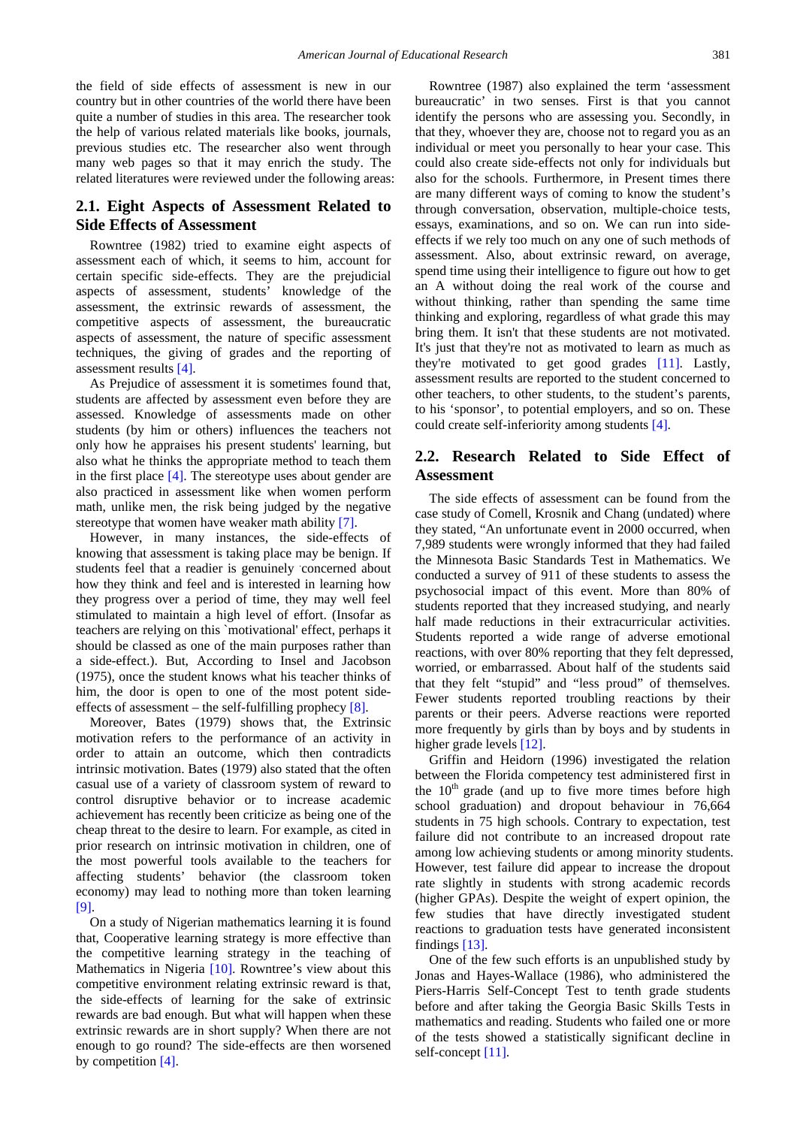the field of side effects of assessment is new in our country but in other countries of the world there have been quite a number of studies in this area. The researcher took the help of various related materials like books, journals, previous studies etc. The researcher also went through many web pages so that it may enrich the study. The related literatures were reviewed under the following areas:

## **2.1. Eight Aspects of Assessment Related to Side Effects of Assessment**

Rowntree (1982) tried to examine eight aspects of assessment each of which, it seems to him, account for certain specific side-effects. They are the prejudicial aspects of assessment, students' knowledge of the assessment, the extrinsic rewards of assessment, the competitive aspects of assessment, the bureaucratic aspects of assessment, the nature of specific assessment techniques, the giving of grades and the reporting of assessment results [\[4\].](#page-10-3)

As Prejudice of assessment it is sometimes found that, students are affected by assessment even before they are assessed. Knowledge of assessments made on other students (by him or others) influences the teachers not only how he appraises his present students' learning, but also what he thinks the appropriate method to teach them in the first place  $[4]$ . The stereotype uses about gender are also practiced in assessment like when women perform math, unlike men, the risk being judged by the negative stereotype that women have weaker math ability [\[7\].](#page-10-6)

However, in many instances, the side-effects of knowing that assessment is taking place may be benign. If students feel that a readier is genuinely concerned about how they think and feel and is interested in learning how they progress over a period of time, they may well feel stimulated to maintain a high level of effort. (Insofar as teachers are relying on this `motivational' effect, perhaps it should be classed as one of the main purposes rather than a side-effect.). But, According to Insel and Jacobson (1975), once the student knows what his teacher thinks of him, the door is open to one of the most potent sideeffects of assessment – the self-fulfilling prophecy  $[8]$ .

Moreover, Bates (1979) shows that, the Extrinsic motivation refers to the performance of an activity in order to attain an outcome, which then contradicts intrinsic motivation. Bates (1979) also stated that the often casual use of a variety of classroom system of reward to control disruptive behavior or to increase academic achievement has recently been criticize as being one of the cheap threat to the desire to learn. For example, as cited in prior research on intrinsic motivation in children, one of the most powerful tools available to the teachers for affecting students' behavior (the classroom token economy) may lead to nothing more than token learning [\[9\].](#page-10-8)

On a study of Nigerian mathematics learning it is found that, Cooperative learning strategy is more effective than the competitive learning strategy in the teaching of Mathematics in Nigeria [\[10\].](#page-10-9) Rowntree's view about this competitive environment relating extrinsic reward is that, the side-effects of learning for the sake of extrinsic rewards are bad enough. But what will happen when these extrinsic rewards are in short supply? When there are not enough to go round? The side-effects are then worsened by competition [\[4\].](#page-10-3)

Rowntree (1987) also explained the term 'assessment bureaucratic' in two senses. First is that you cannot identify the persons who are assessing you. Secondly, in that they, whoever they are, choose not to regard you as an individual or meet you personally to hear your case. This could also create side-effects not only for individuals but also for the schools. Furthermore, in Present times there are many different ways of coming to know the student's through conversation, observation, multiple-choice tests, essays, examinations, and so on. We can run into sideeffects if we rely too much on any one of such methods of assessment. Also, about extrinsic reward, on average, spend time using their intelligence to figure out how to get an A without doing the real work of the course and without thinking, rather than spending the same time thinking and exploring, regardless of what grade this may bring them. It isn't that these students are not motivated. It's just that they're not as motivated to learn as much as they're motivated to get good grades [\[11\].](#page-10-10) Lastly, assessment results are reported to the student concerned to other teachers, to other students, to the student's parents, to his 'sponsor', to potential employers, and so on. These could create self-inferiority among students [\[4\].](#page-10-3)

## **2.2. Research Related to Side Effect of Assessment**

The side effects of assessment can be found from the case study of Comell, Krosnik and Chang (undated) where they stated, "An unfortunate event in 2000 occurred, when 7,989 students were wrongly informed that they had failed the Minnesota Basic Standards Test in Mathematics. We conducted a survey of 911 of these students to assess the psychosocial impact of this event. More than 80% of students reported that they increased studying, and nearly half made reductions in their extracurricular activities. Students reported a wide range of adverse emotional reactions, with over 80% reporting that they felt depressed, worried, or embarrassed. About half of the students said that they felt "stupid" and "less proud" of themselves. Fewer students reported troubling reactions by their parents or their peers. Adverse reactions were reported more frequently by girls than by boys and by students in higher grade levels [\[12\].](#page-10-11)

Griffin and Heidorn (1996) investigated the relation between the Florida competency test administered first in the  $10<sup>th</sup>$  grade (and up to five more times before high school graduation) and dropout behaviour in 76,664 students in 75 high schools. Contrary to expectation, test failure did not contribute to an increased dropout rate among low achieving students or among minority students. However, test failure did appear to increase the dropout rate slightly in students with strong academic records (higher GPAs). Despite the weight of expert opinion, the few studies that have directly investigated student reactions to graduation tests have generated inconsistent finding[s \[13\].](#page-10-12)

One of the few such efforts is an unpublished study by Jonas and Hayes-Wallace (1986), who administered the Piers-Harris Self-Concept Test to tenth grade students before and after taking the Georgia Basic Skills Tests in mathematics and reading. Students who failed one or more of the tests showed a statistically significant decline in self-concep[t \[11\].](#page-10-10)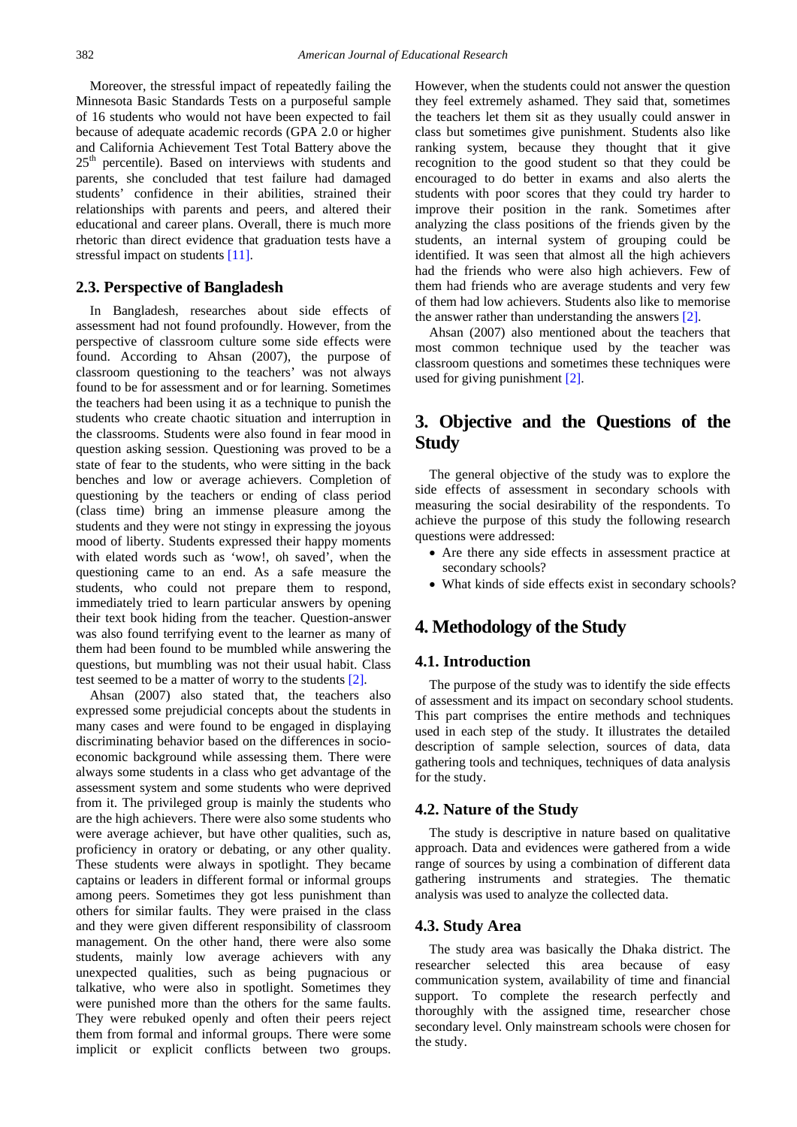Moreover, the stressful impact of repeatedly failing the Minnesota Basic Standards Tests on a purposeful sample of 16 students who would not have been expected to fail because of adequate academic records (GPA 2.0 or higher and California Achievement Test Total Battery above the 25<sup>th</sup> percentile). Based on interviews with students and parents, she concluded that test failure had damaged students' confidence in their abilities, strained their relationships with parents and peers, and altered their educational and career plans. Overall, there is much more rhetoric than direct evidence that graduation tests have a stressful impact on students [\[11\].](#page-10-10)

## **2.3. Perspective of Bangladesh**

In Bangladesh, researches about side effects of assessment had not found profoundly. However, from the perspective of classroom culture some side effects were found. According to Ahsan (2007), the purpose of classroom questioning to the teachers' was not always found to be for assessment and or for learning. Sometimes the teachers had been using it as a technique to punish the students who create chaotic situation and interruption in the classrooms. Students were also found in fear mood in question asking session. Questioning was proved to be a state of fear to the students, who were sitting in the back benches and low or average achievers. Completion of questioning by the teachers or ending of class period (class time) bring an immense pleasure among the students and they were not stingy in expressing the joyous mood of liberty. Students expressed their happy moments with elated words such as 'wow!, oh saved', when the questioning came to an end. As a safe measure the students, who could not prepare them to respond, immediately tried to learn particular answers by opening their text book hiding from the teacher. Question-answer was also found terrifying event to the learner as many of them had been found to be mumbled while answering the questions, but mumbling was not their usual habit. Class test seemed to be a matter of worry to the students [\[2\].](#page-10-1)

Ahsan (2007) also stated that, the teachers also expressed some prejudicial concepts about the students in many cases and were found to be engaged in displaying discriminating behavior based on the differences in socioeconomic background while assessing them. There were always some students in a class who get advantage of the assessment system and some students who were deprived from it. The privileged group is mainly the students who are the high achievers. There were also some students who were average achiever, but have other qualities, such as, proficiency in oratory or debating, or any other quality. These students were always in spotlight. They became captains or leaders in different formal or informal groups among peers. Sometimes they got less punishment than others for similar faults. They were praised in the class and they were given different responsibility of classroom management. On the other hand, there were also some students, mainly low average achievers with any unexpected qualities, such as being pugnacious or talkative, who were also in spotlight. Sometimes they were punished more than the others for the same faults. They were rebuked openly and often their peers reject them from formal and informal groups. There were some implicit or explicit conflicts between two groups.

However, when the students could not answer the question they feel extremely ashamed. They said that, sometimes the teachers let them sit as they usually could answer in class but sometimes give punishment. Students also like ranking system, because they thought that it give recognition to the good student so that they could be encouraged to do better in exams and also alerts the students with poor scores that they could try harder to improve their position in the rank. Sometimes after analyzing the class positions of the friends given by the students, an internal system of grouping could be identified. It was seen that almost all the high achievers had the friends who were also high achievers. Few of them had friends who are average students and very few of them had low achievers. Students also like to memorise the answer rather than understanding the answers [\[2\].](#page-10-1)

Ahsan (2007) also mentioned about the teachers that most common technique used by the teacher was classroom questions and sometimes these techniques were used for giving punishment [\[2\].](#page-10-1)

# **3. Objective and the Questions of the Study**

The general objective of the study was to explore the side effects of assessment in secondary schools with measuring the social desirability of the respondents. To achieve the purpose of this study the following research questions were addressed:

- Are there any side effects in assessment practice at secondary schools?
- What kinds of side effects exist in secondary schools?

# **4. Methodology of the Study**

## **4.1. Introduction**

The purpose of the study was to identify the side effects of assessment and its impact on secondary school students. This part comprises the entire methods and techniques used in each step of the study. It illustrates the detailed description of sample selection, sources of data, data gathering tools and techniques, techniques of data analysis for the study.

#### **4.2. Nature of the Study**

The study is descriptive in nature based on qualitative approach. Data and evidences were gathered from a wide range of sources by using a combination of different data gathering instruments and strategies. The thematic analysis was used to analyze the collected data.

#### **4.3. Study Area**

The study area was basically the Dhaka district. The researcher selected this area because of easy communication system, availability of time and financial support. To complete the research perfectly and thoroughly with the assigned time, researcher chose secondary level. Only mainstream schools were chosen for the study.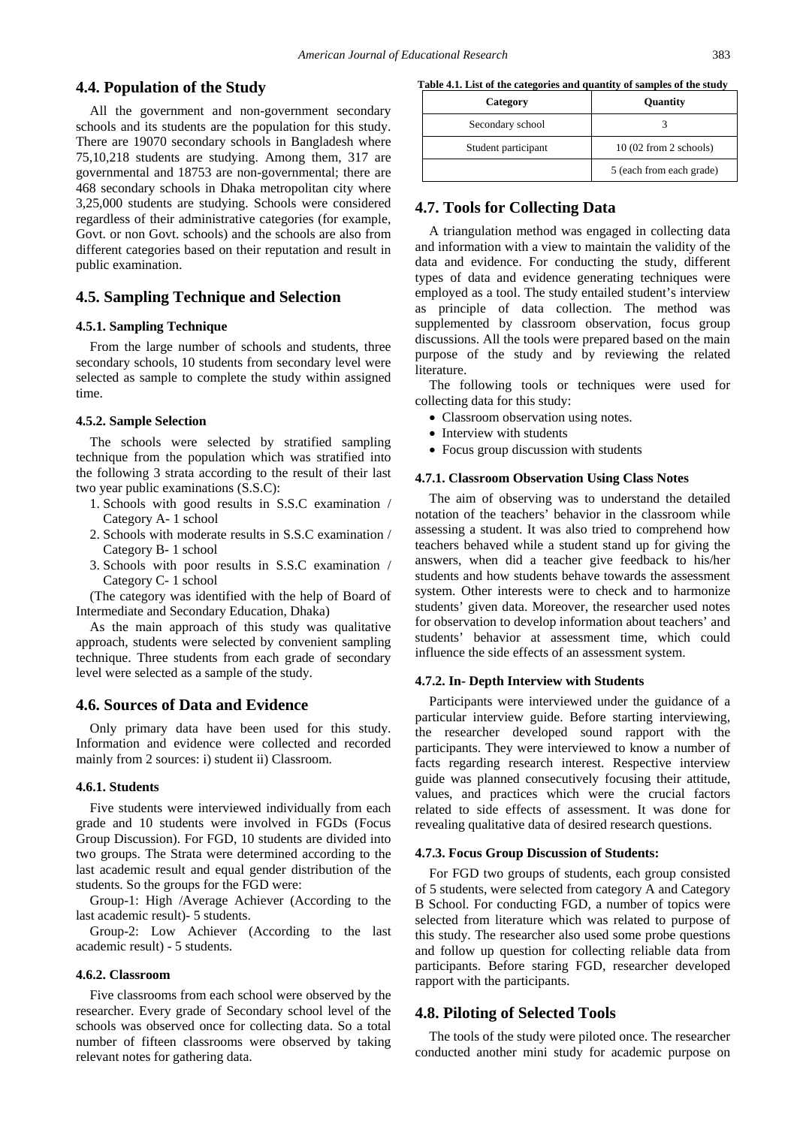## **4.4. Population of the Study**

All the government and non-government secondary schools and its students are the population for this study. There are 19070 secondary schools in Bangladesh where 75,10,218 students are studying. Among them, 317 are governmental and 18753 are non-governmental; there are 468 secondary schools in Dhaka metropolitan city where 3,25,000 students are studying. Schools were considered regardless of their administrative categories (for example, Govt. or non Govt. schools) and the schools are also from different categories based on their reputation and result in public examination.

## **4.5. Sampling Technique and Selection**

#### **4.5.1. Sampling Technique**

From the large number of schools and students, three secondary schools, 10 students from secondary level were selected as sample to complete the study within assigned time.

#### **4.5.2. Sample Selection**

The schools were selected by stratified sampling technique from the population which was stratified into the following 3 strata according to the result of their last two year public examinations (S.S.C):

- 1. Schools with good results in S.S.C examination / Category A- 1 school
- 2. Schools with moderate results in S.S.C examination / Category B- 1 school
- 3. Schools with poor results in S.S.C examination / Category C- 1 school

(The category was identified with the help of Board of Intermediate and Secondary Education, Dhaka)

As the main approach of this study was qualitative approach, students were selected by convenient sampling technique. Three students from each grade of secondary level were selected as a sample of the study.

#### **4.6. Sources of Data and Evidence**

Only primary data have been used for this study. Information and evidence were collected and recorded mainly from 2 sources: i) student ii) Classroom.

#### **4.6.1. Students**

Five students were interviewed individually from each grade and 10 students were involved in FGDs (Focus Group Discussion). For FGD, 10 students are divided into two groups. The Strata were determined according to the last academic result and equal gender distribution of the students. So the groups for the FGD were:

Group-1: High /Average Achiever (According to the last academic result)- 5 students.

Group-2: Low Achiever (According to the last academic result) - 5 students.

### **4.6.2. Classroom**

Five classrooms from each school were observed by the researcher. Every grade of Secondary school level of the schools was observed once for collecting data. So a total number of fifteen classrooms were observed by taking relevant notes for gathering data.

**Table 4.1. List of the categories and quantity of samples of the study**

| Category            | Quantity                 |
|---------------------|--------------------------|
| Secondary school    |                          |
| Student participant | 10(02 from 2 schools)    |
|                     | 5 (each from each grade) |

## **4.7. Tools for Collecting Data**

A triangulation method was engaged in collecting data and information with a view to maintain the validity of the data and evidence. For conducting the study, different types of data and evidence generating techniques were employed as a tool. The study entailed student's interview as principle of data collection. The method was supplemented by classroom observation, focus group discussions. All the tools were prepared based on the main purpose of the study and by reviewing the related literature.

The following tools or techniques were used for collecting data for this study:

- Classroom observation using notes.
- Interview with students
- Focus group discussion with students

#### **4.7.1. Classroom Observation Using Class Notes**

The aim of observing was to understand the detailed notation of the teachers' behavior in the classroom while assessing a student. It was also tried to comprehend how teachers behaved while a student stand up for giving the answers, when did a teacher give feedback to his/her students and how students behave towards the assessment system. Other interests were to check and to harmonize students' given data. Moreover, the researcher used notes for observation to develop information about teachers' and students' behavior at assessment time, which could influence the side effects of an assessment system.

#### **4.7.2. In- Depth Interview with Students**

Participants were interviewed under the guidance of a particular interview guide. Before starting interviewing, the researcher developed sound rapport with the participants. They were interviewed to know a number of facts regarding research interest. Respective interview guide was planned consecutively focusing their attitude, values, and practices which were the crucial factors related to side effects of assessment. It was done for revealing qualitative data of desired research questions.

#### **4.7.3. Focus Group Discussion of Students:**

For FGD two groups of students, each group consisted of 5 students, were selected from category A and Category B School. For conducting FGD, a number of topics were selected from literature which was related to purpose of this study. The researcher also used some probe questions and follow up question for collecting reliable data from participants. Before staring FGD, researcher developed rapport with the participants.

#### **4.8. Piloting of Selected Tools**

The tools of the study were piloted once. The researcher conducted another mini study for academic purpose on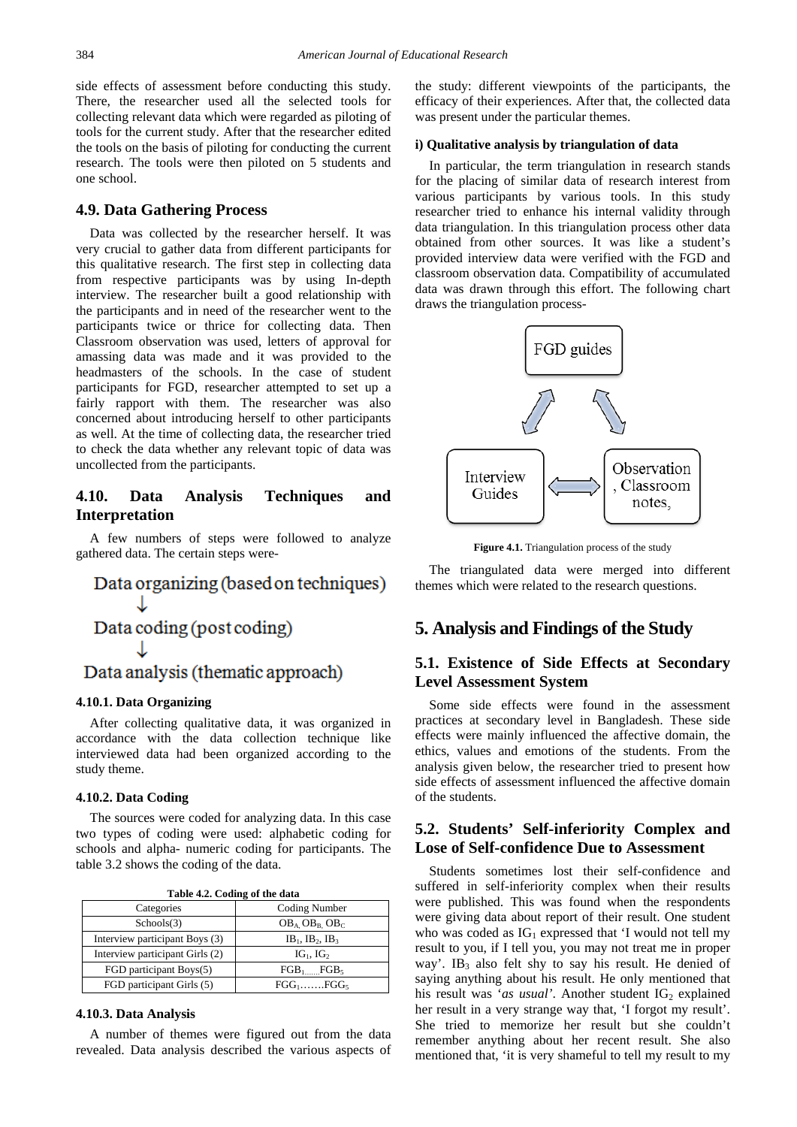side effects of assessment before conducting this study. There, the researcher used all the selected tools for collecting relevant data which were regarded as piloting of tools for the current study. After that the researcher edited the tools on the basis of piloting for conducting the current research. The tools were then piloted on 5 students and one school.

#### **4.9. Data Gathering Process**

Data was collected by the researcher herself. It was very crucial to gather data from different participants for this qualitative research. The first step in collecting data from respective participants was by using In-depth interview. The researcher built a good relationship with the participants and in need of the researcher went to the participants twice or thrice for collecting data. Then Classroom observation was used, letters of approval for amassing data was made and it was provided to the headmasters of the schools. In the case of student participants for FGD, researcher attempted to set up a fairly rapport with them. The researcher was also concerned about introducing herself to other participants as well. At the time of collecting data, the researcher tried to check the data whether any relevant topic of data was uncollected from the participants.

## **4.10. Data Analysis Techniques and Interpretation**

A few numbers of steps were followed to analyze gathered data. The certain steps were-

# Data organizing (based on techniques) Data coding (post coding) Data analysis (thematic approach)

#### **4.10.1. Data Organizing**

After collecting qualitative data, it was organized in accordance with the data collection technique like interviewed data had been organized according to the study theme.

## **4.10.2. Data Coding**

The sources were coded for analyzing data. In this case two types of coding were used: alphabetic coding for schools and alpha- numeric coding for participants. The table 3.2 shows the coding of the data.

|  |  | Table 4.2. Coding of the data |
|--|--|-------------------------------|
|--|--|-------------------------------|

| Categories                      | Coding Number            |
|---------------------------------|--------------------------|
| Schools(3)                      | $OB_A$ , $OB_B$ , $OB_C$ |
| Interview participant Boys (3)  | $IB_1$ , $IB_2$ , $IB_3$ |
| Interview participant Girls (2) | $IG1$ , $IG2$            |
| FGD participant Boys(5)         | $FGB_1$ $FGB_5$          |
| FGD participant Girls (5)       | $FGG_1$ $FGG_5$          |

#### **4.10.3. Data Analysis**

A number of themes were figured out from the data revealed. Data analysis described the various aspects of the study: different viewpoints of the participants, the efficacy of their experiences. After that, the collected data was present under the particular themes.

## **i) Qualitative analysis by triangulation of data**

In particular, the term triangulation in research stands for the placing of similar data of research interest from various participants by various tools. In this study researcher tried to enhance his internal validity through data triangulation. In this triangulation process other data obtained from other sources. It was like a student's provided interview data were verified with the FGD and classroom observation data. Compatibility of accumulated data was drawn through this effort. The following chart draws the triangulation process-



**Figure 4.1.** Triangulation process of the study

The triangulated data were merged into different themes which were related to the research questions.

## **5. Analysis and Findings of the Study**

## **5.1. Existence of Side Effects at Secondary Level Assessment System**

Some side effects were found in the assessment practices at secondary level in Bangladesh. These side effects were mainly influenced the affective domain, the ethics, values and emotions of the students. From the analysis given below, the researcher tried to present how side effects of assessment influenced the affective domain of the students.

## **5.2. Students' Self-inferiority Complex and Lose of Self-confidence Due to Assessment**

Students sometimes lost their self-confidence and suffered in self-inferiority complex when their results were published. This was found when the respondents were giving data about report of their result. One student who was coded as  $IG_1$  expressed that 'I would not tell my result to you, if I tell you, you may not treat me in proper way'. IB<sub>3</sub> also felt shy to say his result. He denied of saying anything about his result. He only mentioned that his result was '*as usual*'. Another student  $IG_2$  explained her result in a very strange way that, 'I forgot my result'. She tried to memorize her result but she couldn't remember anything about her recent result. She also mentioned that, 'it is very shameful to tell my result to my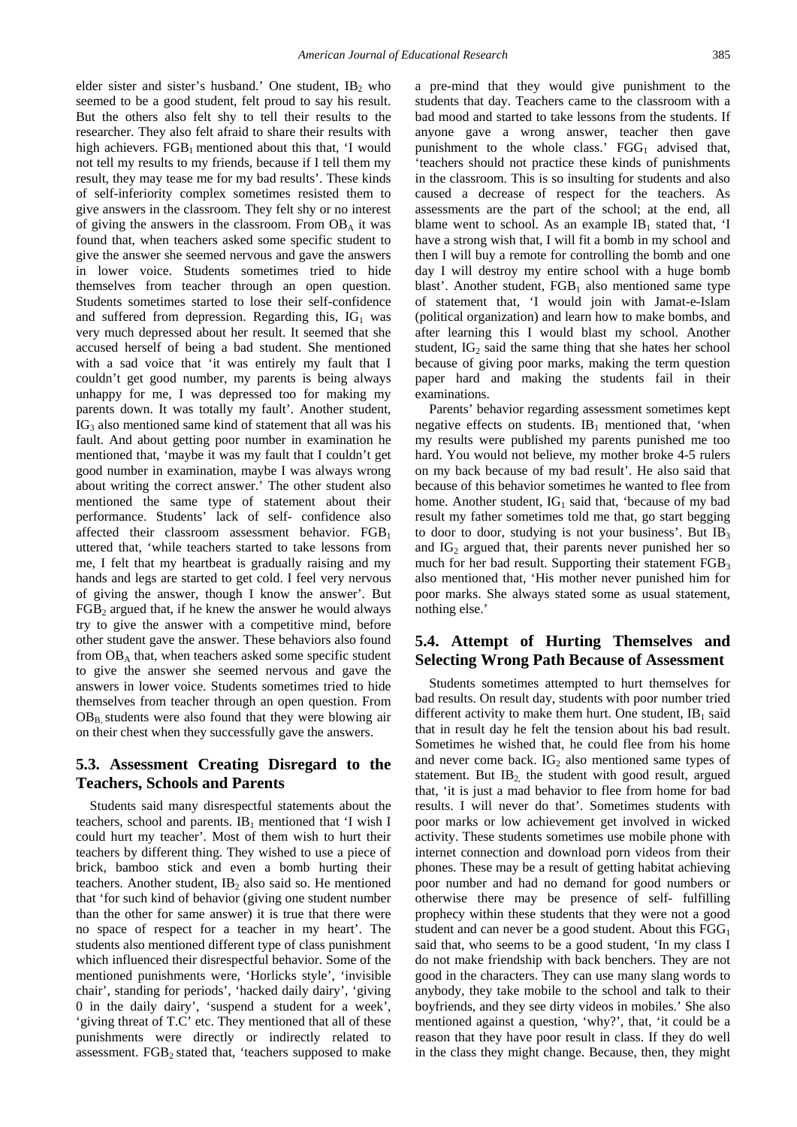elder sister and sister's husband.' One student,  $IB_2$  who seemed to be a good student, felt proud to say his result. But the others also felt shy to tell their results to the researcher. They also felt afraid to share their results with high achievers.  $FGB_1$  mentioned about this that, 'I would not tell my results to my friends, because if I tell them my result, they may tease me for my bad results'. These kinds of self-inferiority complex sometimes resisted them to give answers in the classroom. They felt shy or no interest of giving the answers in the classroom. From  $OB<sub>A</sub>$  it was found that, when teachers asked some specific student to give the answer she seemed nervous and gave the answers in lower voice. Students sometimes tried to hide themselves from teacher through an open question. Students sometimes started to lose their self-confidence and suffered from depression. Regarding this,  $IG_1$  was very much depressed about her result. It seemed that she accused herself of being a bad student. She mentioned with a sad voice that 'it was entirely my fault that I couldn't get good number, my parents is being always unhappy for me, I was depressed too for making my parents down. It was totally my fault'. Another student,  $IG<sub>3</sub>$  also mentioned same kind of statement that all was his fault. And about getting poor number in examination he mentioned that, 'maybe it was my fault that I couldn't get good number in examination, maybe I was always wrong about writing the correct answer.' The other student also mentioned the same type of statement about their performance. Students' lack of self- confidence also affected their classroom assessment behavior.  $FGB<sub>1</sub>$ uttered that, 'while teachers started to take lessons from me, I felt that my heartbeat is gradually raising and my hands and legs are started to get cold. I feel very nervous of giving the answer, though I know the answer'. But  $FGB<sub>2</sub>$  argued that, if he knew the answer he would always try to give the answer with a competitive mind, before other student gave the answer. These behaviors also found from  $OB<sub>A</sub>$  that, when teachers asked some specific student to give the answer she seemed nervous and gave the answers in lower voice. Students sometimes tried to hide themselves from teacher through an open question. From  $OB<sub>B</sub>$  students were also found that they were blowing air on their chest when they successfully gave the answers.

## **5.3. Assessment Creating Disregard to the Teachers, Schools and Parents**

Students said many disrespectful statements about the teachers, school and parents.  $IB_1$  mentioned that 'I wish I could hurt my teacher'. Most of them wish to hurt their teachers by different thing. They wished to use a piece of brick, bamboo stick and even a bomb hurting their teachers. Another student,  $IB_2$  also said so. He mentioned that 'for such kind of behavior (giving one student number than the other for same answer) it is true that there were no space of respect for a teacher in my heart'. The students also mentioned different type of class punishment which influenced their disrespectful behavior. Some of the mentioned punishments were, 'Horlicks style', 'invisible chair', standing for periods', 'hacked daily dairy', 'giving 0 in the daily dairy', 'suspend a student for a week', 'giving threat of T.C' etc. They mentioned that all of these punishments were directly or indirectly related to assessment. FGB<sub>2</sub> stated that, 'teachers supposed to make

a pre-mind that they would give punishment to the students that day. Teachers came to the classroom with a bad mood and started to take lessons from the students. If anyone gave a wrong answer, teacher then gave punishment to the whole class.'  $FGG<sub>1</sub>$  advised that, 'teachers should not practice these kinds of punishments in the classroom. This is so insulting for students and also caused a decrease of respect for the teachers. As assessments are the part of the school; at the end, all blame went to school. As an example  $IB<sub>1</sub>$  stated that, 'I have a strong wish that, I will fit a bomb in my school and then I will buy a remote for controlling the bomb and one day I will destroy my entire school with a huge bomb blast'. Another student,  $FGB<sub>1</sub>$  also mentioned same type of statement that, 'I would join with Jamat-e-Islam (political organization) and learn how to make bombs, and after learning this I would blast my school. Another student,  $IG_2$  said the same thing that she hates her school because of giving poor marks, making the term question paper hard and making the students fail in their examinations.

Parents' behavior regarding assessment sometimes kept negative effects on students.  $IB_1$  mentioned that, 'when my results were published my parents punished me too hard. You would not believe, my mother broke 4-5 rulers on my back because of my bad result'. He also said that because of this behavior sometimes he wanted to flee from home. Another student,  $IG_1$  said that, 'because of my bad result my father sometimes told me that, go start begging to door to door, studying is not your business'. But  $IB_3$ and  $IG<sub>2</sub>$  argued that, their parents never punished her so much for her bad result. Supporting their statement  $FGB<sub>3</sub>$ also mentioned that, 'His mother never punished him for poor marks. She always stated some as usual statement, nothing else.'

## **5.4. Attempt of Hurting Themselves and Selecting Wrong Path Because of Assessment**

Students sometimes attempted to hurt themselves for bad results. On result day, students with poor number tried different activity to make them hurt. One student,  $IB_1$  said that in result day he felt the tension about his bad result. Sometimes he wished that, he could flee from his home and never come back.  $IG_2$  also mentioned same types of statement. But  $IB<sub>2</sub>$  the student with good result, argued that, 'it is just a mad behavior to flee from home for bad results. I will never do that'. Sometimes students with poor marks or low achievement get involved in wicked activity. These students sometimes use mobile phone with internet connection and download porn videos from their phones. These may be a result of getting habitat achieving poor number and had no demand for good numbers or otherwise there may be presence of self- fulfilling prophecy within these students that they were not a good student and can never be a good student. About this  $FGG<sub>1</sub>$ said that, who seems to be a good student, 'In my class I do not make friendship with back benchers. They are not good in the characters. They can use many slang words to anybody, they take mobile to the school and talk to their boyfriends, and they see dirty videos in mobiles.' She also mentioned against a question, 'why?', that, 'it could be a reason that they have poor result in class. If they do well in the class they might change. Because, then, they might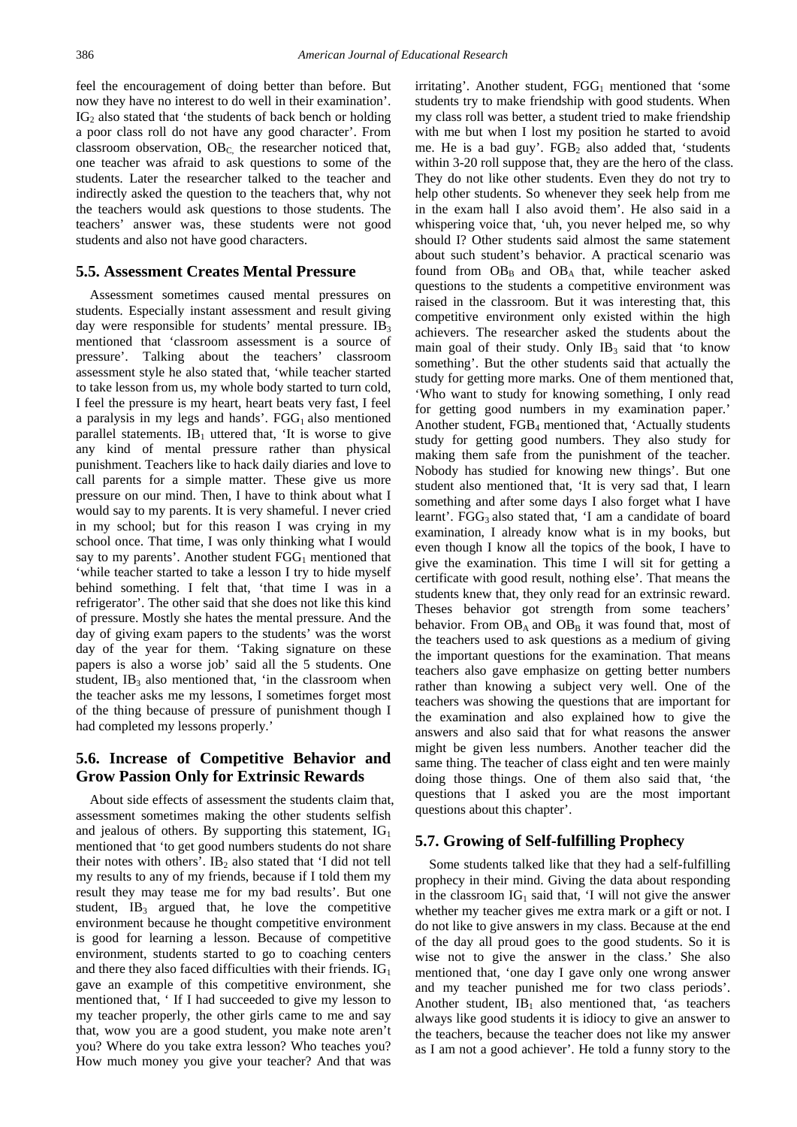feel the encouragement of doing better than before. But now they have no interest to do well in their examination'.  $IG<sub>2</sub>$  also stated that 'the students of back bench or holding a poor class roll do not have any good character'. From classroom observation, OB<sub>C</sub> the researcher noticed that, one teacher was afraid to ask questions to some of the students. Later the researcher talked to the teacher and indirectly asked the question to the teachers that, why not the teachers would ask questions to those students. The teachers' answer was, these students were not good students and also not have good characters.

## **5.5. Assessment Creates Mental Pressure**

Assessment sometimes caused mental pressures on students. Especially instant assessment and result giving day were responsible for students' mental pressure.  $IB_3$ mentioned that 'classroom assessment is a source of pressure'. Talking about the teachers' classroom assessment style he also stated that, 'while teacher started to take lesson from us, my whole body started to turn cold, I feel the pressure is my heart, heart beats very fast, I feel a paralysis in my legs and hands'.  $FGG<sub>1</sub>$  also mentioned parallel statements.  $IB_1$  uttered that, 'It is worse to give any kind of mental pressure rather than physical punishment. Teachers like to hack daily diaries and love to call parents for a simple matter. These give us more pressure on our mind. Then, I have to think about what I would say to my parents. It is very shameful. I never cried in my school; but for this reason I was crying in my school once. That time, I was only thinking what I would say to my parents'. Another student  $FGG<sub>1</sub>$  mentioned that 'while teacher started to take a lesson I try to hide myself behind something. I felt that, 'that time I was in a refrigerator'. The other said that she does not like this kind of pressure. Mostly she hates the mental pressure. And the day of giving exam papers to the students' was the worst day of the year for them. 'Taking signature on these papers is also a worse job' said all the 5 students. One student,  $IB_3$  also mentioned that, 'in the classroom when the teacher asks me my lessons, I sometimes forget most of the thing because of pressure of punishment though I had completed my lessons properly.'

## **5.6. Increase of Competitive Behavior and Grow Passion Only for Extrinsic Rewards**

About side effects of assessment the students claim that, assessment sometimes making the other students selfish and jealous of others. By supporting this statement,  $IG<sub>1</sub>$ mentioned that 'to get good numbers students do not share their notes with others'.  $IB_2$  also stated that 'I did not tell my results to any of my friends, because if I told them my result they may tease me for my bad results'. But one student,  $IB_3$  argued that, he love the competitive environment because he thought competitive environment is good for learning a lesson. Because of competitive environment, students started to go to coaching centers and there they also faced difficulties with their friends.  $IG<sub>1</sub>$ gave an example of this competitive environment, she mentioned that, ' If I had succeeded to give my lesson to my teacher properly, the other girls came to me and say that, wow you are a good student, you make note aren't you? Where do you take extra lesson? Who teaches you? How much money you give your teacher? And that was

irritating'. Another student,  $FGG<sub>1</sub>$  mentioned that 'some students try to make friendship with good students. When my class roll was better, a student tried to make friendship with me but when I lost my position he started to avoid me. He is a bad guy'.  $FGB<sub>2</sub>$  also added that, 'students within 3-20 roll suppose that, they are the hero of the class. They do not like other students. Even they do not try to help other students. So whenever they seek help from me in the exam hall I also avoid them'. He also said in a whispering voice that, 'uh, you never helped me, so why should I? Other students said almost the same statement about such student's behavior. A practical scenario was found from  $OB_B$  and  $OB_A$  that, while teacher asked questions to the students a competitive environment was raised in the classroom. But it was interesting that, this competitive environment only existed within the high achievers. The researcher asked the students about the main goal of their study. Only  $IB_3$  said that 'to know something'. But the other students said that actually the study for getting more marks. One of them mentioned that, 'Who want to study for knowing something, I only read for getting good numbers in my examination paper.' Another student, FGB<sub>4</sub> mentioned that, 'Actually students study for getting good numbers. They also study for making them safe from the punishment of the teacher. Nobody has studied for knowing new things'. But one student also mentioned that, 'It is very sad that, I learn something and after some days I also forget what I have learnt'. FGG<sub>3</sub> also stated that, 'I am a candidate of board examination, I already know what is in my books, but even though I know all the topics of the book, I have to give the examination. This time I will sit for getting a certificate with good result, nothing else'. That means the students knew that, they only read for an extrinsic reward. Theses behavior got strength from some teachers' behavior. From  $OB_A$  and  $OB_B$  it was found that, most of the teachers used to ask questions as a medium of giving the important questions for the examination. That means teachers also gave emphasize on getting better numbers rather than knowing a subject very well. One of the teachers was showing the questions that are important for the examination and also explained how to give the answers and also said that for what reasons the answer might be given less numbers. Another teacher did the same thing. The teacher of class eight and ten were mainly doing those things. One of them also said that, 'the questions that I asked you are the most important questions about this chapter'.

## **5.7. Growing of Self-fulfilling Prophecy**

Some students talked like that they had a self-fulfilling prophecy in their mind. Giving the data about responding in the classroom  $IG<sub>1</sub>$  said that, 'I will not give the answer whether my teacher gives me extra mark or a gift or not. I do not like to give answers in my class. Because at the end of the day all proud goes to the good students. So it is wise not to give the answer in the class.' She also mentioned that, 'one day I gave only one wrong answer and my teacher punished me for two class periods'. Another student,  $IB_1$  also mentioned that, 'as teachers always like good students it is idiocy to give an answer to the teachers, because the teacher does not like my answer as I am not a good achiever'. He told a funny story to the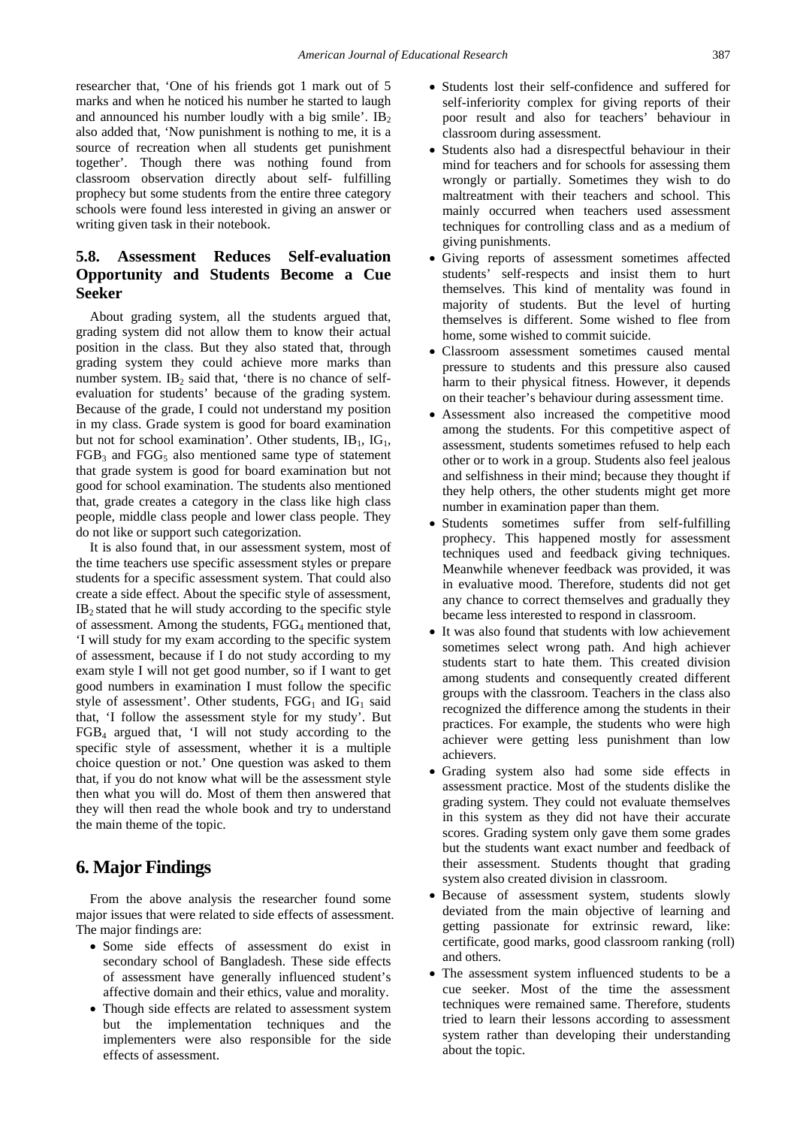researcher that, 'One of his friends got 1 mark out of 5 marks and when he noticed his number he started to laugh and announced his number loudly with a big smile'.  $IB<sub>2</sub>$ also added that, 'Now punishment is nothing to me, it is a source of recreation when all students get punishment together'. Though there was nothing found from classroom observation directly about self- fulfilling prophecy but some students from the entire three category schools were found less interested in giving an answer or writing given task in their notebook.

# **5.8. Assessment Reduces Self-evaluation Opportunity and Students Become a Cue Seeker**

About grading system, all the students argued that, grading system did not allow them to know their actual position in the class. But they also stated that, through grading system they could achieve more marks than number system. IB<sub>2</sub> said that, 'there is no chance of selfevaluation for students' because of the grading system. Because of the grade, I could not understand my position in my class. Grade system is good for board examination but not for school examination'. Other students,  $IB<sub>1</sub>$ ,  $IG<sub>1</sub>$ ,  $FGB<sub>3</sub>$  and  $FGG<sub>5</sub>$  also mentioned same type of statement that grade system is good for board examination but not good for school examination. The students also mentioned that, grade creates a category in the class like high class people, middle class people and lower class people. They do not like or support such categorization.

It is also found that, in our assessment system, most of the time teachers use specific assessment styles or prepare students for a specific assessment system. That could also create a side effect. About the specific style of assessment,  $IB<sub>2</sub>$  stated that he will study according to the specific style of assessment. Among the students,  $FGG<sub>4</sub>$  mentioned that, 'I will study for my exam according to the specific system of assessment, because if I do not study according to my exam style I will not get good number, so if I want to get good numbers in examination I must follow the specific style of assessment'. Other students,  $FGG<sub>1</sub>$  and  $IG<sub>1</sub>$  said that, 'I follow the assessment style for my study'. But  $FGB<sub>4</sub>$  argued that, 'I will not study according to the specific style of assessment, whether it is a multiple choice question or not.' One question was asked to them that, if you do not know what will be the assessment style then what you will do. Most of them then answered that they will then read the whole book and try to understand the main theme of the topic.

# **6. Major Findings**

From the above analysis the researcher found some major issues that were related to side effects of assessment. The major findings are:

- Some side effects of assessment do exist in secondary school of Bangladesh. These side effects of assessment have generally influenced student's affective domain and their ethics, value and morality.
- Though side effects are related to assessment system but the implementation techniques and the implementers were also responsible for the side effects of assessment.
- Students lost their self-confidence and suffered for self-inferiority complex for giving reports of their poor result and also for teachers' behaviour in classroom during assessment.
- Students also had a disrespectful behaviour in their mind for teachers and for schools for assessing them wrongly or partially. Sometimes they wish to do maltreatment with their teachers and school. This mainly occurred when teachers used assessment techniques for controlling class and as a medium of giving punishments.
- Giving reports of assessment sometimes affected students' self-respects and insist them to hurt themselves. This kind of mentality was found in majority of students. But the level of hurting themselves is different. Some wished to flee from home, some wished to commit suicide.
- Classroom assessment sometimes caused mental pressure to students and this pressure also caused harm to their physical fitness. However, it depends on their teacher's behaviour during assessment time.
- Assessment also increased the competitive mood among the students. For this competitive aspect of assessment, students sometimes refused to help each other or to work in a group. Students also feel jealous and selfishness in their mind; because they thought if they help others, the other students might get more number in examination paper than them.
- Students sometimes suffer from self-fulfilling prophecy. This happened mostly for assessment techniques used and feedback giving techniques. Meanwhile whenever feedback was provided, it was in evaluative mood. Therefore, students did not get any chance to correct themselves and gradually they became less interested to respond in classroom.
- It was also found that students with low achievement sometimes select wrong path. And high achiever students start to hate them. This created division among students and consequently created different groups with the classroom. Teachers in the class also recognized the difference among the students in their practices. For example, the students who were high achiever were getting less punishment than low achievers.
- Grading system also had some side effects in assessment practice. Most of the students dislike the grading system. They could not evaluate themselves in this system as they did not have their accurate scores. Grading system only gave them some grades but the students want exact number and feedback of their assessment. Students thought that grading system also created division in classroom.
- Because of assessment system, students slowly deviated from the main objective of learning and getting passionate for extrinsic reward, like: certificate, good marks, good classroom ranking (roll) and others.
- The assessment system influenced students to be a cue seeker. Most of the time the assessment techniques were remained same. Therefore, students tried to learn their lessons according to assessment system rather than developing their understanding about the topic.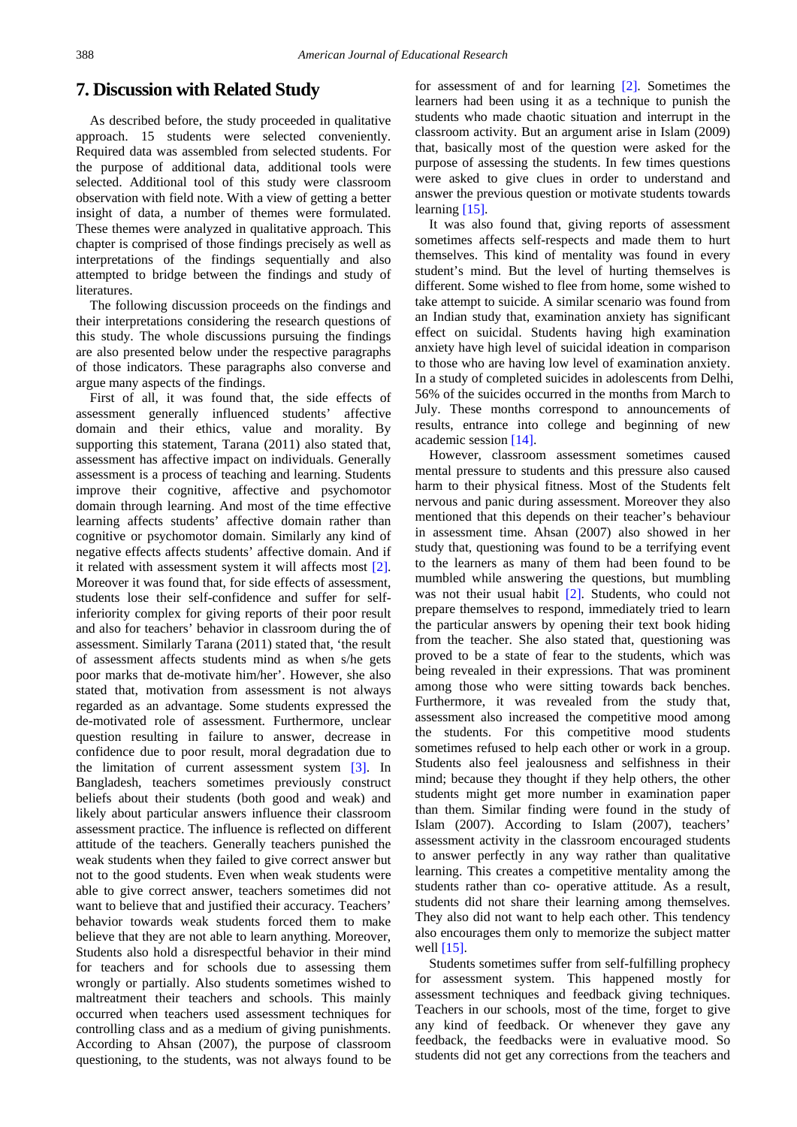## **7. Discussion with Related Study**

As described before, the study proceeded in qualitative approach. 15 students were selected conveniently. Required data was assembled from selected students. For the purpose of additional data, additional tools were selected. Additional tool of this study were classroom observation with field note. With a view of getting a better insight of data, a number of themes were formulated. These themes were analyzed in qualitative approach. This chapter is comprised of those findings precisely as well as interpretations of the findings sequentially and also attempted to bridge between the findings and study of literatures.

The following discussion proceeds on the findings and their interpretations considering the research questions of this study. The whole discussions pursuing the findings are also presented below under the respective paragraphs of those indicators. These paragraphs also converse and argue many aspects of the findings.

First of all, it was found that, the side effects of assessment generally influenced students' affective domain and their ethics, value and morality. By supporting this statement, Tarana (2011) also stated that, assessment has affective impact on individuals. Generally assessment is a process of teaching and learning. Students improve their cognitive, affective and psychomotor domain through learning. And most of the time effective learning affects students' affective domain rather than cognitive or psychomotor domain. Similarly any kind of negative effects affects students' affective domain. And if it related with assessment system it will affects most [\[2\].](#page-10-1) Moreover it was found that, for side effects of assessment, students lose their self-confidence and suffer for selfinferiority complex for giving reports of their poor result and also for teachers' behavior in classroom during the of assessment. Similarly Tarana (2011) stated that, 'the result of assessment affects students mind as when s/he gets poor marks that de-motivate him/her'. However, she also stated that, motivation from assessment is not always regarded as an advantage. Some students expressed the de-motivated role of assessment. Furthermore, unclear question resulting in failure to answer, decrease in confidence due to poor result, moral degradation due to the limitation of current assessment system [\[3\].](#page-10-2) In Bangladesh, teachers sometimes previously construct beliefs about their students (both good and weak) and likely about particular answers influence their classroom assessment practice. The influence is reflected on different attitude of the teachers. Generally teachers punished the weak students when they failed to give correct answer but not to the good students. Even when weak students were able to give correct answer, teachers sometimes did not want to believe that and justified their accuracy. Teachers' behavior towards weak students forced them to make believe that they are not able to learn anything. Moreover, Students also hold a disrespectful behavior in their mind for teachers and for schools due to assessing them wrongly or partially. Also students sometimes wished to maltreatment their teachers and schools. This mainly occurred when teachers used assessment techniques for controlling class and as a medium of giving punishments. According to Ahsan (2007), the purpose of classroom questioning, to the students, was not always found to be

for assessment of and for learning [\[2\].](#page-10-1) Sometimes the learners had been using it as a technique to punish the students who made chaotic situation and interrupt in the classroom activity. But an argument arise in Islam (2009) that, basically most of the question were asked for the purpose of assessing the students. In few times questions were asked to give clues in order to understand and answer the previous question or motivate students towards learning [\[15\].](#page-10-13)

It was also found that, giving reports of assessment sometimes affects self-respects and made them to hurt themselves. This kind of mentality was found in every student's mind. But the level of hurting themselves is different. Some wished to flee from home, some wished to take attempt to suicide. A similar scenario was found from an Indian study that, examination anxiety has significant effect on suicidal. Students having high examination anxiety have high level of suicidal ideation in comparison to those who are having low level of examination anxiety. In a study of completed suicides in adolescents from Delhi, 56% of the suicides occurred in the months from March to July. These months correspond to announcements of results, entrance into college and beginning of new academic session [\[14\].](#page-10-14)

However, classroom assessment sometimes caused mental pressure to students and this pressure also caused harm to their physical fitness. Most of the Students felt nervous and panic during assessment. Moreover they also mentioned that this depends on their teacher's behaviour in assessment time. Ahsan (2007) also showed in her study that, questioning was found to be a terrifying event to the learners as many of them had been found to be mumbled while answering the questions, but mumbling was not their usual habit [\[2\].](#page-10-1) Students, who could not prepare themselves to respond, immediately tried to learn the particular answers by opening their text book hiding from the teacher. She also stated that, questioning was proved to be a state of fear to the students, which was being revealed in their expressions. That was prominent among those who were sitting towards back benches. Furthermore, it was revealed from the study that, assessment also increased the competitive mood among the students. For this competitive mood students sometimes refused to help each other or work in a group. Students also feel jealousness and selfishness in their mind; because they thought if they help others, the other students might get more number in examination paper than them. Similar finding were found in the study of Islam (2007). According to Islam (2007), teachers' assessment activity in the classroom encouraged students to answer perfectly in any way rather than qualitative learning. This creates a competitive mentality among the students rather than co- operative attitude. As a result, students did not share their learning among themselves. They also did not want to help each other. This tendency also encourages them only to memorize the subject matter well [\[15\].](#page-10-13)

Students sometimes suffer from self-fulfilling prophecy for assessment system. This happened mostly for assessment techniques and feedback giving techniques. Teachers in our schools, most of the time, forget to give any kind of feedback. Or whenever they gave any feedback, the feedbacks were in evaluative mood. So students did not get any corrections from the teachers and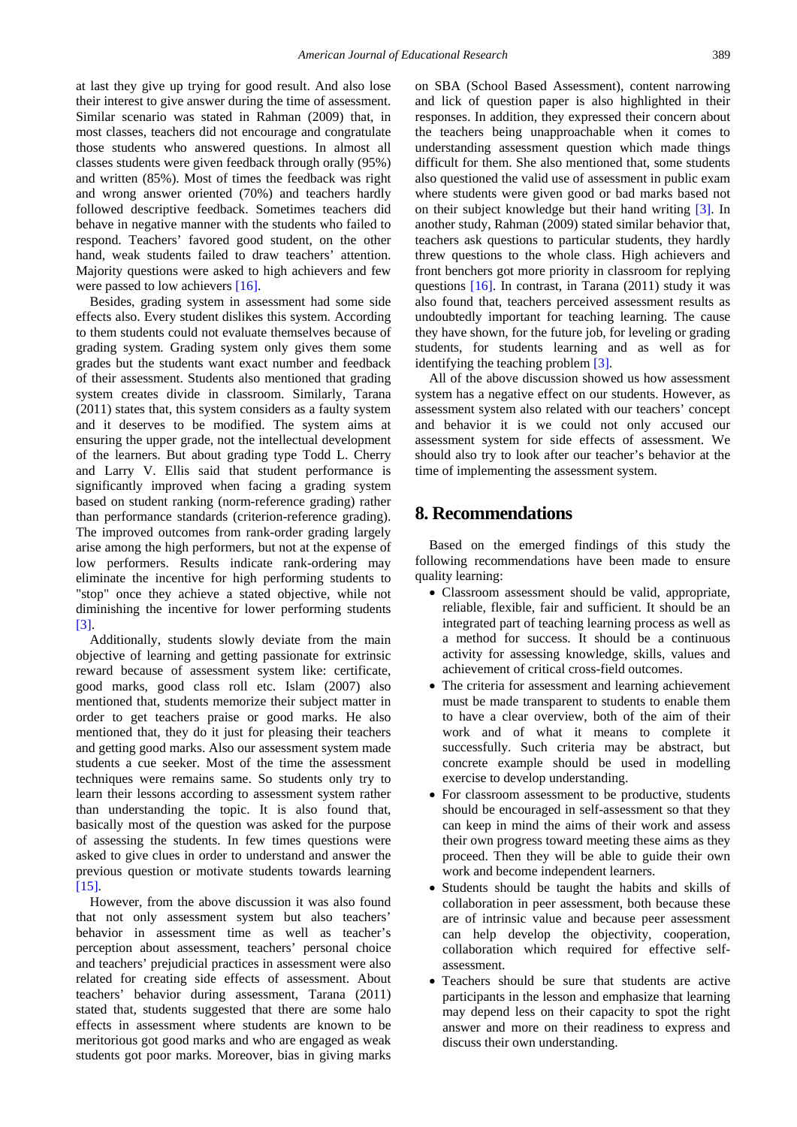at last they give up trying for good result. And also lose their interest to give answer during the time of assessment. Similar scenario was stated in Rahman (2009) that, in most classes, teachers did not encourage and congratulate those students who answered questions. In almost all classes students were given feedback through orally (95%) and written (85%). Most of times the feedback was right and wrong answer oriented (70%) and teachers hardly followed descriptive feedback. Sometimes teachers did behave in negative manner with the students who failed to respond. Teachers' favored good student, on the other hand, weak students failed to draw teachers' attention. Majority questions were asked to high achievers and few were passed to low achievers [\[16\].](#page-10-15)

Besides, grading system in assessment had some side effects also. Every student dislikes this system. According to them students could not evaluate themselves because of grading system. Grading system only gives them some grades but the students want exact number and feedback of their assessment. Students also mentioned that grading system creates divide in classroom. Similarly, Tarana (2011) states that, this system considers as a faulty system and it deserves to be modified. The system aims at ensuring the upper grade, not the intellectual development of the learners. But about grading type Todd L. Cherry and Larry V. Ellis said that student performance is significantly improved when facing a grading system based on student ranking (norm-reference grading) rather than performance standards (criterion-reference grading). The improved outcomes from rank-order grading largely arise among the high performers, but not at the expense of low performers. Results indicate rank-ordering may eliminate the incentive for high performing students to "stop" once they achieve a stated objective, while not diminishing the incentive for lower performing students [\[3\].](#page-10-2)

Additionally, students slowly deviate from the main objective of learning and getting passionate for extrinsic reward because of assessment system like: certificate, good marks, good class roll etc. Islam (2007) also mentioned that, students memorize their subject matter in order to get teachers praise or good marks. He also mentioned that, they do it just for pleasing their teachers and getting good marks. Also our assessment system made students a cue seeker. Most of the time the assessment techniques were remains same. So students only try to learn their lessons according to assessment system rather than understanding the topic. It is also found that, basically most of the question was asked for the purpose of assessing the students. In few times questions were asked to give clues in order to understand and answer the previous question or motivate students towards learning [\[15\].](#page-10-13) 

However, from the above discussion it was also found that not only assessment system but also teachers' behavior in assessment time as well as teacher's perception about assessment, teachers' personal choice and teachers' prejudicial practices in assessment were also related for creating side effects of assessment. About teachers' behavior during assessment, Tarana (2011) stated that, students suggested that there are some halo effects in assessment where students are known to be meritorious got good marks and who are engaged as weak students got poor marks. Moreover, bias in giving marks on SBA (School Based Assessment), content narrowing and lick of question paper is also highlighted in their responses. In addition, they expressed their concern about the teachers being unapproachable when it comes to understanding assessment question which made things difficult for them. She also mentioned that, some students also questioned the valid use of assessment in public exam where students were given good or bad marks based not on their subject knowledge but their hand writing [\[3\].](#page-10-2) In another study, Rahman (2009) stated similar behavior that, teachers ask questions to particular students, they hardly threw questions to the whole class. High achievers and front benchers got more priority in classroom for replying questions [\[16\].](#page-10-15) In contrast, in Tarana (2011) study it was also found that, teachers perceived assessment results as undoubtedly important for teaching learning. The cause they have shown, for the future job, for leveling or grading students, for students learning and as well as for identifying the teaching proble[m \[3\].](#page-10-2)

All of the above discussion showed us how assessment system has a negative effect on our students. However, as assessment system also related with our teachers' concept and behavior it is we could not only accused our assessment system for side effects of assessment. We should also try to look after our teacher's behavior at the time of implementing the assessment system.

## **8. Recommendations**

Based on the emerged findings of this study the following recommendations have been made to ensure quality learning:

- Classroom assessment should be valid, appropriate, reliable, flexible, fair and sufficient. It should be an integrated part of teaching learning process as well as a method for success. It should be a continuous activity for assessing knowledge, skills, values and achievement of critical cross-field outcomes.
- The criteria for assessment and learning achievement must be made transparent to students to enable them to have a clear overview, both of the aim of their work and of what it means to complete it successfully. Such criteria may be abstract, but concrete example should be used in modelling exercise to develop understanding.
- For classroom assessment to be productive, students should be encouraged in self-assessment so that they can keep in mind the aims of their work and assess their own progress toward meeting these aims as they proceed. Then they will be able to guide their own work and become independent learners.
- Students should be taught the habits and skills of collaboration in peer assessment, both because these are of intrinsic value and because peer assessment can help develop the objectivity, cooperation, collaboration which required for effective selfassessment.
- Teachers should be sure that students are active participants in the lesson and emphasize that learning may depend less on their capacity to spot the right answer and more on their readiness to express and discuss their own understanding.